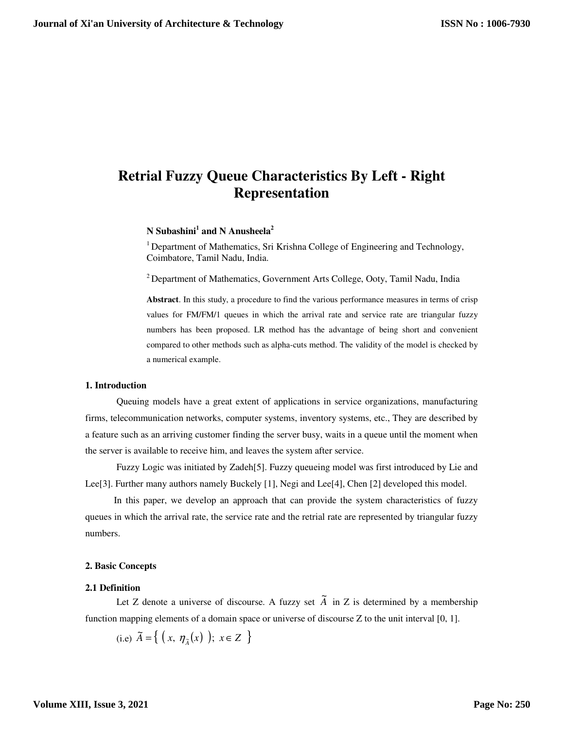# **Retrial Fuzzy Queue Characteristics By Left - Right Representation**

# **N Subashini<sup>1</sup> and N Anusheela<sup>2</sup>**

<sup>1</sup> Department of Mathematics, Sri Krishna College of Engineering and Technology, Coimbatore, Tamil Nadu, India.

<sup>2</sup> Department of Mathematics, Government Arts College, Ooty, Tamil Nadu, India

**Abstract**. In this study, a procedure to find the various performance measures in terms of crisp values for FM/FM/1 queues in which the arrival rate and service rate are triangular fuzzy numbers has been proposed. LR method has the advantage of being short and convenient compared to other methods such as alpha-cuts method. The validity of the model is checked by a numerical example.

# **1. Introduction**

Queuing models have a great extent of applications in service organizations, manufacturing firms, telecommunication networks, computer systems, inventory systems, etc., They are described by a feature such as an arriving customer finding the server busy, waits in a queue until the moment when the server is available to receive him, and leaves the system after service.

 Fuzzy Logic was initiated by Zadeh[5]. Fuzzy queueing model was first introduced by Lie and Lee<sup>[3]</sup>. Further many authors namely Buckely [1], Negi and Lee<sup>[4]</sup>, Chen [2] developed this model.

 In this paper, we develop an approach that can provide the system characteristics of fuzzy queues in which the arrival rate, the service rate and the retrial rate are represented by triangular fuzzy numbers.

#### **2. Basic Concepts**

## **2.1 Definition**

Let Z denote a universe of discourse. A fuzzy set  $\tilde{A}$  in Z is determined by a membership function mapping elements of a domain space or universe of discourse Z to the unit interval [0, 1].

(i.e) 
$$
\tilde{A} = \{ (x, \eta_{\tilde{A}}(x) ); x \in Z \}
$$

**Volume XIII, Issue 3, 2021**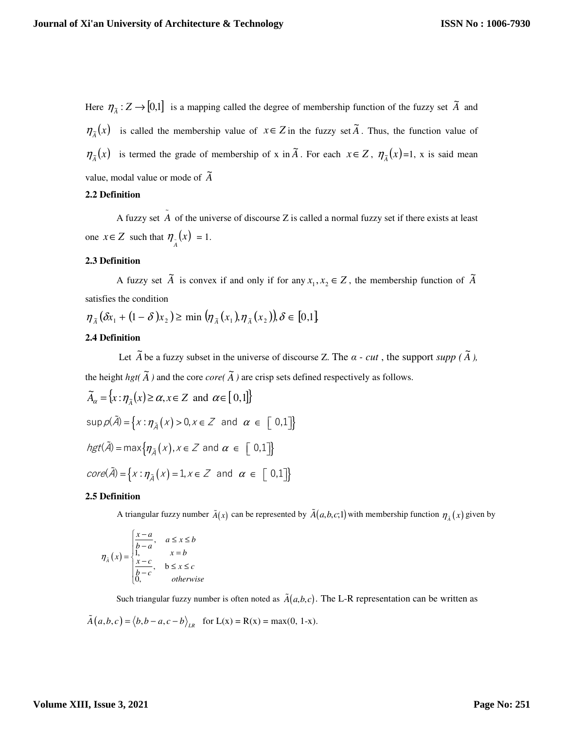Here  $\eta_{\tilde{A}} : Z \to [0,1]$  is a mapping called the degree of membership function of the fuzzy set  $\tilde{A}$  and  $\eta_{\tilde{A}}(x)$  is called the membership value of  $x \in Z$  in the fuzzy set  $\tilde{A}$ . Thus, the function value of  $\eta_{\tilde{A}}(x)$  is termed the grade of membership of x in  $\tilde{A}$ . For each  $x \in Z$ ,  $\eta_{\tilde{A}}(x)=1$ , x is said mean value, modal value or mode of  $\widetilde{A}$ 

#### **2.2 Definition**

A fuzzy set  $\tilde{A}$  of the universe of discourse Z is called a normal fuzzy set if there exists at least one  $x \in Z$  such that  $\eta_{\tilde{A}}(x) = 1$ .

# **2.3 Definition**

A fuzzy set  $\tilde{A}$  is convex if and only if for any  $x_1, x_2 \in Z$ , the membership function of  $\tilde{A}$ satisfies the condition

 $\eta_{\tilde{A}}(\delta x_1 + (1 - \delta)x_2) \ge \min(\eta_{\tilde{A}}(x_1), \eta_{\tilde{A}}(x_2)), \delta \in [0,1]$ 

# **2.4 Definition**

Let  $\tilde{A}$  be a fuzzy subset in the universe of discourse Z. The  $\alpha$  - *cut*, the support *supp* ( $\tilde{A}$ ), the height  $hgt(\widetilde{A})$  and the core *core*( $\widetilde{A}$ ) are crisp sets defined respectively as follows.

$$
\widetilde{A}_{\alpha} = \{x : \eta_{\widetilde{A}}(x) \ge \alpha, x \in Z \text{ and } \alpha \in [0,1]\}
$$
  
\n
$$
\sup \rho(\widetilde{A}) = \{x : \eta_{\widetilde{A}}(x) > 0, x \in Z \text{ and } \alpha \in [0,1]\}
$$
  
\n
$$
hgt(\widetilde{A}) = \max \{\eta_{\widetilde{A}}(x), x \in Z \text{ and } \alpha \in [0,1]\}
$$
  
\n
$$
core(\widetilde{A}) = \{x : \eta_{\widetilde{A}}(x) = 1, x \in Z \text{ and } \alpha \in [0,1]\}
$$

#### **2.5 Definition**

A triangular fuzzy number  $\tilde{A}(x)$  can be represented by  $\tilde{A}(a,b,c;1)$  with membership function  $\eta_{\tilde{A}}(x)$  given by

$$
\eta_{\tilde{A}}(x) = \begin{cases} \frac{x-a}{b-a}, & a \le x \le b \\ 1, & x = b \\ \frac{x-c}{b-c}, & b \le x \le c \\ 0, & otherwise \end{cases}
$$

Such triangular fuzzy number is often noted as  $\tilde{A}(a, b, c)$ . The L-R representation can be written as

$$
\tilde{A}(a,b,c) = \langle b,b-a,c-b \rangle_{LR} \text{ for } L(x) = R(x) = \max(0, 1-x).
$$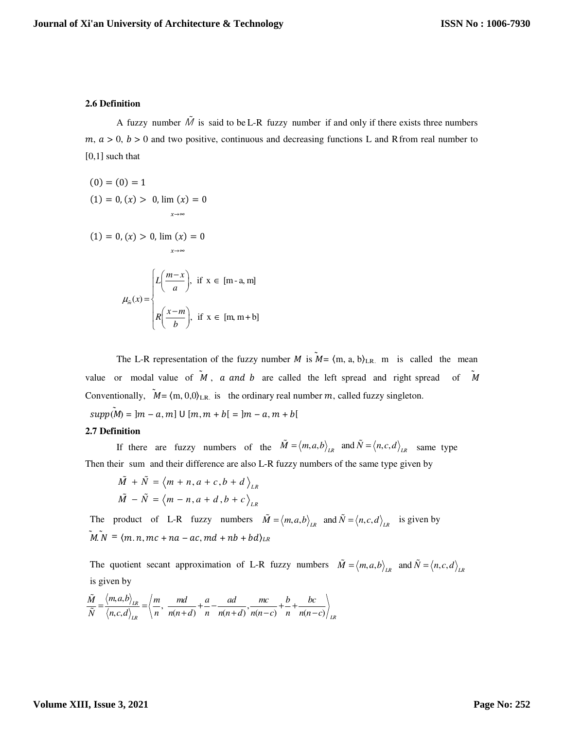#### **2.6 Definition**

A fuzzy number  $\tilde{M}$  is said to be L-R fuzzy number if and only if there exists three numbers  $m, a > 0, b > 0$  and two positive, continuous and decreasing functions L and R from real number to [0,1] such that

$$
(0)=(0)=1
$$

$$
(1) = 0, (x) > 0, \lim_{x \to \infty} (x) = 0
$$

$$
(1) = 0, (x) > 0, \lim (x) = 0
$$

$$
\mu_{\tilde{m}}(x) = \begin{cases} L\left(\frac{m-x}{a}\right), & \text{if } x \in [m-a, m] \\ R\left(\frac{x-m}{b}\right), & \text{if } x \in [m, m+b] \end{cases}
$$

→*∞*

The L-R representation of the fuzzy number M is  $M = \{m, a, b\}_{LR}$  m is called the mean value or modal value of  $\tilde{M}$ , a and b are called the left spread and right spread of  $\tilde{M}$ Conventionally,  $\tilde{M} = \langle m, 0, 0 \rangle_{LR}$  is the ordinary real number m, called fuzzy singleton.  $supp(M) = |m - a, m] \cup [m, m + b[ = |m - a, m + b[$ 

## **2.7 Definition**

If there are fuzzy numbers of the  $\tilde{M} = \langle m, a, b \rangle_{LR}$  and  $\tilde{N} = \langle n, c, d \rangle_{LR}$  same type Then their sum and their difference are also L-R fuzzy numbers of the same type given by

$$
\tilde{M} + \tilde{N} = \langle m + n, a + c, b + d \rangle_{LR}
$$

$$
\tilde{M} - \tilde{N} = \langle m - n, a + d, b + c \rangle_{LR}
$$

The product of L-R fuzzy numbers  $\tilde{M} = \langle m, a, b \rangle_{LR}$  and  $\tilde{N} = \langle n, c, d \rangle_{LR}$  is given by  $\tilde{M}$ .  $N = \langle m, n, mc + na - ac, md + nb + bd \rangle_{LR}$ 

The quotient secant approximation of L-R fuzzy numbers  $\tilde{M} = \langle m, a, b \rangle_{LR}$  and  $\tilde{N} = \langle n, c, d \rangle_{LR}$ is given by

$$
\frac{\tilde{M}}{\tilde{N}} = \frac{\langle m, a, b \rangle_{LR}}{\langle n, c, d \rangle_{LR}} = \left\langle \frac{m}{n}, \frac{md}{n(n+d)} + \frac{a}{n} - \frac{ad}{n(n+d)}, \frac{mc}{n(n-c)} + \frac{b}{n} + \frac{bc}{n(n-c)} \right\rangle_{LR}
$$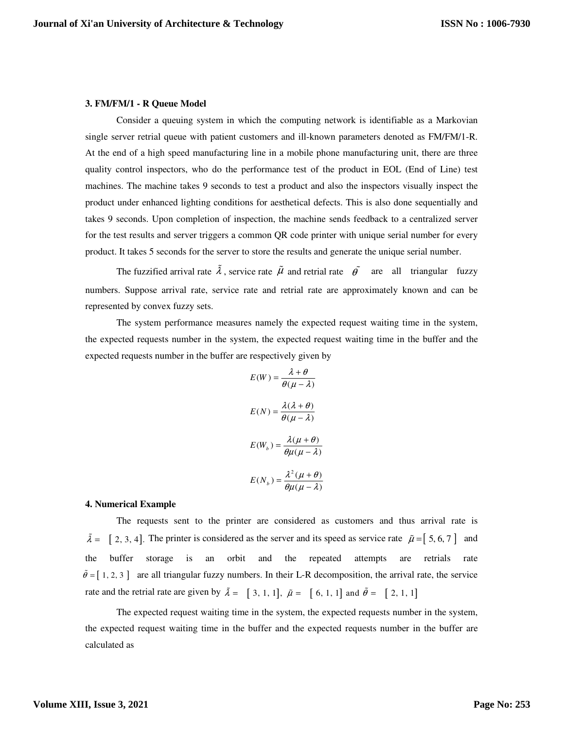#### **3. FM/FM/1 - R Queue Model**

Consider a queuing system in which the computing network is identifiable as a Markovian single server retrial queue with patient customers and ill-known parameters denoted as FM/FM/1-R. At the end of a high speed manufacturing line in a mobile phone manufacturing unit, there are three quality control inspectors, who do the performance test of the product in EOL (End of Line) test machines. The machine takes 9 seconds to test a product and also the inspectors visually inspect the product under enhanced lighting conditions for aesthetical defects. This is also done sequentially and takes 9 seconds. Upon completion of inspection, the machine sends feedback to a centralized server for the test results and server triggers a common QR code printer with unique serial number for every product. It takes 5 seconds for the server to store the results and generate the unique serial number.

The fuzzified arrival rate  $\tilde{\lambda}$ , service rate  $\tilde{\mu}$  and retrial rate  $\tilde{\theta}$  are all triangular fuzzy numbers. Suppose arrival rate, service rate and retrial rate are approximately known and can be represented by convex fuzzy sets.

 The system performance measures namely the expected request waiting time in the system, the expected requests number in the system, the expected request waiting time in the buffer and the expected requests number in the buffer are respectively given by

$$
E(W) = \frac{\lambda + \theta}{\theta(\mu - \lambda)}
$$

$$
E(N) = \frac{\lambda(\lambda + \theta)}{\theta(\mu - \lambda)}
$$

$$
E(W_b) = \frac{\lambda(\mu + \theta)}{\theta\mu(\mu - \lambda)}
$$

$$
E(N_b) = \frac{\lambda^2(\mu + \theta)}{\theta\mu(\mu - \lambda)}
$$

#### **4. Numerical Example**

 $\tilde{\theta} = [1, 2, 3]$  are all triangular fuzzy numbers. In their L-R decomposition, the arrival rate, the service The requests sent to the printer are considered as customers and thus arrival rate is  $\tilde{\lambda} = [2, 3, 4]$ . The printer is considered as the server and its speed as service rate  $\tilde{\mu} = [5, 6, 7]$  and the buffer storage is an orbit and the repeated attempts are retrials rate rate and the retrial rate are given by  $\tilde{\lambda} = [3, 1, 1], \tilde{\mu} = [6, 1, 1]$  and  $\tilde{\theta} = [2, 1, 1]$ 

The expected request waiting time in the system, the expected requests number in the system, the expected request waiting time in the buffer and the expected requests number in the buffer are calculated as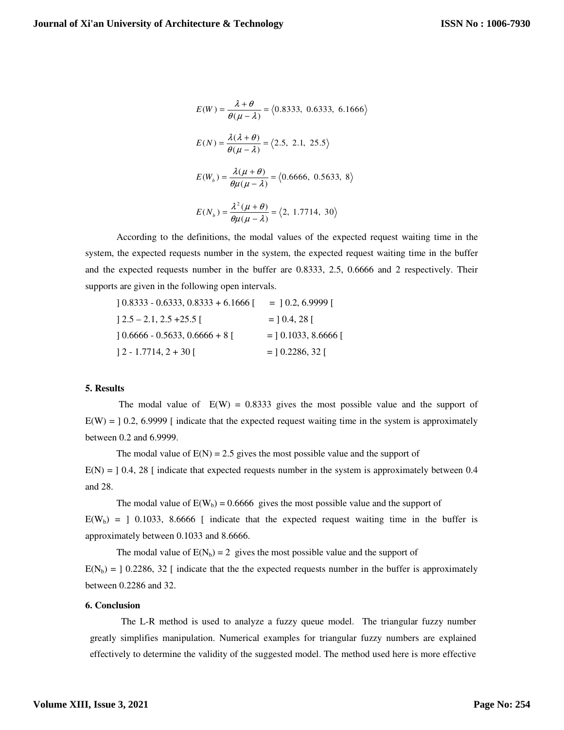$$
E(W) = \frac{\lambda + \theta}{\theta(\mu - \lambda)} = \langle 0.8333, 0.6333, 6.1666 \rangle
$$
  
\n
$$
E(N) = \frac{\lambda(\lambda + \theta)}{\theta(\mu - \lambda)} = \langle 2.5, 2.1, 25.5 \rangle
$$
  
\n
$$
E(W_b) = \frac{\lambda(\mu + \theta)}{\theta\mu(\mu - \lambda)} = \langle 0.6666, 0.5633, 8 \rangle
$$
  
\n
$$
E(N_b) = \frac{\lambda^2(\mu + \theta)}{\theta\mu(\mu - \lambda)} = \langle 2, 1.7714, 30 \rangle
$$

According to the definitions, the modal values of the expected request waiting time in the system, the expected requests number in the system, the expected request waiting time in the buffer and the expected requests number in the buffer are 0.8333, 2.5, 0.6666 and 2 respectively. Their supports are given in the following open intervals.

$$
] 0.8333 - 0.6333, 0.8333 + 6.1666 [ = ] 0.2, 6.9999 [
$$
  

$$
] 2.5 - 2.1, 2.5 + 25.5 [ = ] 0.4, 28 [
$$
  

$$
] 0.6666 - 0.5633, 0.6666 + 8 [ = ] 0.1033, 8.6666 [
$$
  

$$
] 2 - 1.7714, 2 + 30 [ = ] 0.2286, 32 [
$$

## **5. Results**

The modal value of  $E(W) = 0.8333$  gives the most possible value and the support of  $E(W) = 10.2$ , 6.9999 [ indicate that the expected request waiting time in the system is approximately between 0.2 and 6.9999.

The modal value of  $E(N) = 2.5$  gives the most possible value and the support of  $E(N) = 10.4$ , 28 [ indicate that expected requests number in the system is approximately between 0.4 and 28.

The modal value of  $E(W_b) = 0.6666$  gives the most possible value and the support of  $E(W_b) =$  ] 0.1033, 8.6666 [ indicate that the expected request waiting time in the buffer is approximately between 0.1033 and 8.6666.

The modal value of  $E(N_b) = 2$  gives the most possible value and the support of  $E(N_b) = 0.2286, 32$  [ indicate that the the expected requests number in the buffer is approximately between 0.2286 and 32.

## **6. Conclusion**

The L-R method is used to analyze a fuzzy queue model. The triangular fuzzy number greatly simplifies manipulation. Numerical examples for triangular fuzzy numbers are explained effectively to determine the validity of the suggested model. The method used here is more effective